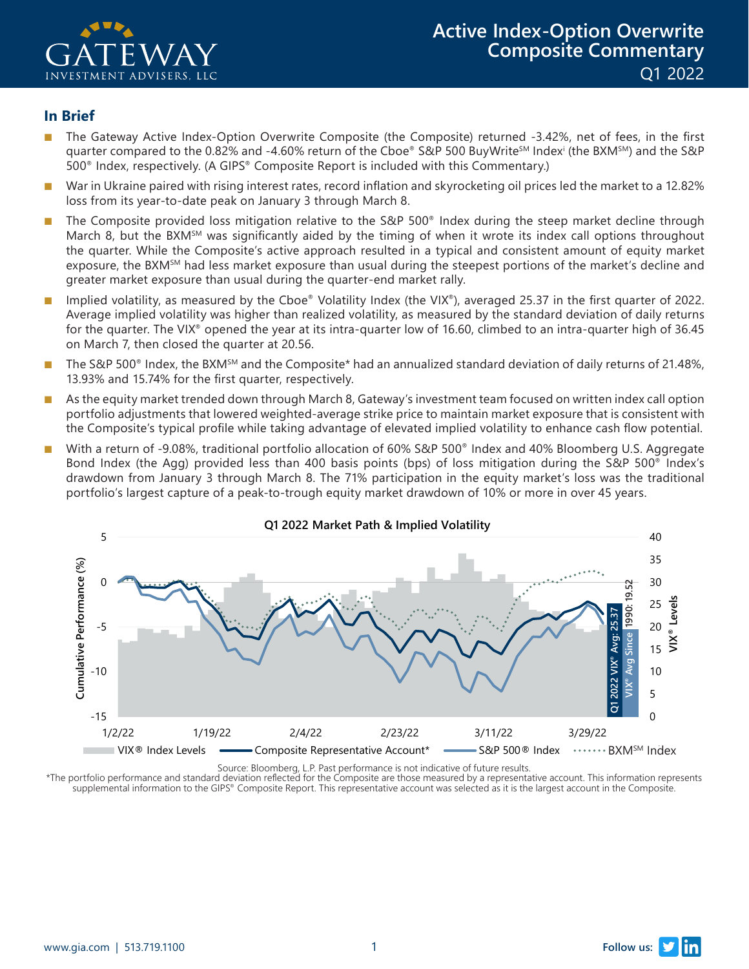

#### **In Brief**

- The Gateway Active Index-Option Overwrite Composite (the Composite) returned -3.42%, net of fees, in the first quarter compared to the 0.82% and -4.60% return of the Cboe® S&P 500 BuyWrite℠ Indexʲ (the BXM℠) and the S&P ' 500® Index, respectively. (A GIPS® Composite Report is included with this Commentary.)
- War in Ukraine paired with rising interest rates, record inflation and skyrocketing oil prices led the market to a 12.82% loss from its year-to-date peak on January 3 through March 8.
- The Composite provided loss mitigation relative to the S&P 500® Index during the steep market decline through March 8, but the BXM<sup>SM</sup> was significantly aided by the timing of when it wrote its index call options throughout the quarter. While the Composite's active approach resulted in a typical and consistent amount of equity market exposure, the BXM<sup>5M</sup> had less market exposure than usual during the steepest portions of the market's decline and greater market exposure than usual during the quarter-end market rally.
- Implied volatility, as measured by the Cboe® Volatility Index (the VIX®), averaged 25.37 in the first quarter of 2022. Average implied volatility was higher than realized volatility, as measured by the standard deviation of daily returns for the quarter. The VIX® opened the year at its intra-quarter low of 16.60, climbed to an intra-quarter high of 36.45 on March 7, then closed the quarter at 20.56.
- The S&P 500<sup>®</sup> Index, the BXM<sup>SM</sup> and the Composite\* had an annualized standard deviation of daily returns of 21.48%, 13.93% and 15.74% for the first quarter, respectively.
- As the equity market trended down through March 8, Gateway's investment team focused on written index call option portfolio adjustments that lowered weighted-average strike price to maintain market exposure that is consistent with the Composite's typical profile while taking advantage of elevated implied volatility to enhance cash flow potential.
- With a return of -9.08%, traditional portfolio allocation of 60% S&P 500<sup>®</sup> Index and 40% Bloomberg U.S. Aggregate Bond Index (the Agg) provided less than 400 basis points (bps) of loss mitigation during the S&P 500® Index's drawdown from January 3 through March 8. The 71% participation in the equity market's loss was the traditional portfolio's largest capture of a peak-to-trough equity market drawdown of 10% or more in over 45 years.



**Q1 2022 Market Path & Implied Volatility**

Source: Bloomberg, L.P. Past performance is not indicative of future results.

\*The portfolio performance and standard deviation reflected for the Composite are those measured by a representative account. This information represents<br>supplemental information to the GIPS® Composite Report. This represe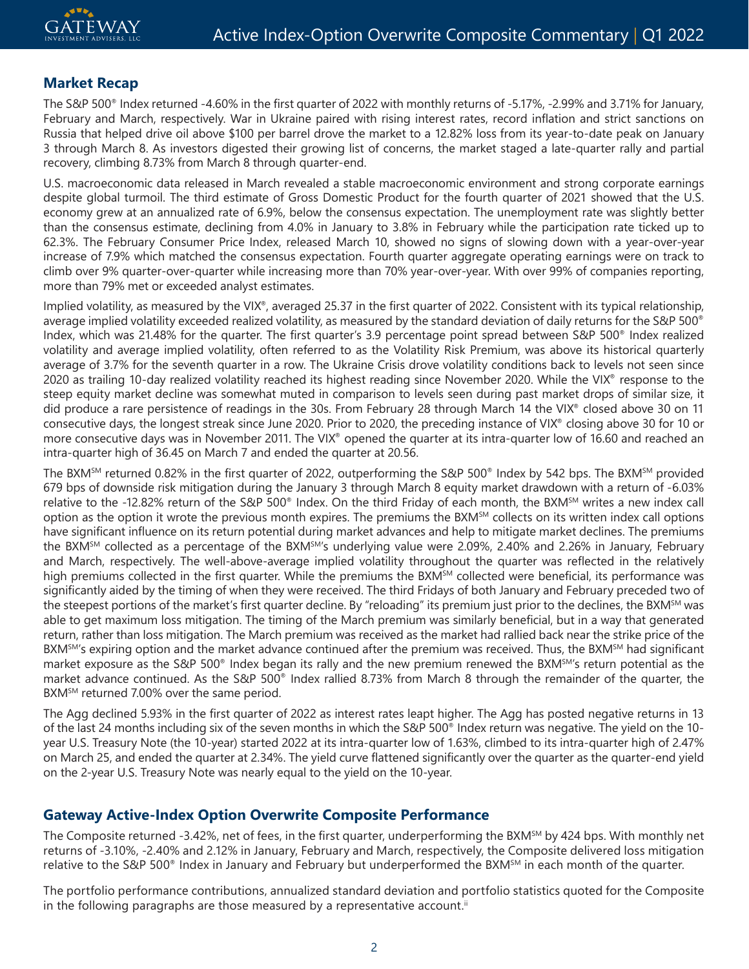## **Market Recap**

The S&P 500® Index returned -4.60% in the first quarter of 2022 with monthly returns of -5.17%, -2.99% and 3.71% for January, February and March, respectively. War in Ukraine paired with rising interest rates, record inflation and strict sanctions on Russia that helped drive oil above \$100 per barrel drove the market to a 12.82% loss from its year-to-date peak on January 3 through March 8. As investors digested their growing list of concerns, the market staged a late-quarter rally and partial recovery, climbing 8.73% from March 8 through quarter-end.

U.S. macroeconomic data released in March revealed a stable macroeconomic environment and strong corporate earnings despite global turmoil. The third estimate of Gross Domestic Product for the fourth quarter of 2021 showed that the U.S. economy grew at an annualized rate of 6.9%, below the consensus expectation. The unemployment rate was slightly better than the consensus estimate, declining from 4.0% in January to 3.8% in February while the participation rate ticked up to 62.3%. The February Consumer Price Index, released March 10, showed no signs of slowing down with a year-over-year increase of 7.9% which matched the consensus expectation. Fourth quarter aggregate operating earnings were on track to climb over 9% quarter-over-quarter while increasing more than 70% year-over-year. With over 99% of companies reporting, more than 79% met or exceeded analyst estimates.

Implied volatility, as measured by the VIX®, averaged 25.37 in the first quarter of 2022. Consistent with its typical relationship, average implied volatility exceeded realized volatility, as measured by the standard deviation of daily returns for the S&P 500® Index, which was 21.48% for the quarter. The first quarter's 3.9 percentage point spread between S&P 500® Index realized volatility and average implied volatility, often referred to as the Volatility Risk Premium, was above its historical quarterly average of 3.7% for the seventh quarter in a row. The Ukraine Crisis drove volatility conditions back to levels not seen since 2020 as trailing 10-day realized volatility reached its highest reading since November 2020. While the VIX® response to the steep equity market decline was somewhat muted in comparison to levels seen during past market drops of similar size, it did produce a rare persistence of readings in the 30s. From February 28 through March 14 the VIX® closed above 30 on 11 consecutive days, the longest streak since June 2020. Prior to 2020, the preceding instance of VIX® closing above 30 for 10 or more consecutive days was in November 2011. The VIX® opened the quarter at its intra-quarter low of 16.60 and reached an intra-quarter high of 36.45 on March 7 and ended the quarter at 20.56.

The BXMSM returned 0.82% in the first quarter of 2022, outperforming the S&P 500® Index by 542 bps. The BXMSM provided 679 bps of downside risk mitigation during the January 3 through March 8 equity market drawdown with a return of -6.03% relative to the -12.82% return of the S&P 500<sup>®</sup> Index. On the third Friday of each month, the BXM<sup>SM</sup> writes a new index call option as the option it wrote the previous month expires. The premiums the BXMSM collects on its written index call options have significant influence on its return potential during market advances and help to mitigate market declines. The premiums the BXM<sup>SM</sup> collected as a percentage of the BXM<sup>SM'</sup>s underlying value were 2.09%, 2.40% and 2.26% in January, February and March, respectively. The well-above-average implied volatility throughout the quarter was reflected in the relatively high premiums collected in the first quarter. While the premiums the BXM<sup>SM</sup> collected were beneficial, its performance was significantly aided by the timing of when they were received. The third Fridays of both January and February preceded two of the steepest portions of the market's first quarter decline. By "reloading" its premium just prior to the declines, the BXMSM was able to get maximum loss mitigation. The timing of the March premium was similarly beneficial, but in a way that generated return, rather than loss mitigation. The March premium was received as the market had rallied back near the strike price of the BXM<sup>SM'</sup>s expiring option and the market advance continued after the premium was received. Thus, the BXM<sup>SM</sup> had significant market exposure as the S&P 500<sup>®</sup> Index began its rally and the new premium renewed the BXM<sup>SM'</sup>s return potential as the market advance continued. As the S&P 500® Index rallied 8.73% from March 8 through the remainder of the quarter, the BXM<sup>SM</sup> returned 7.00% over the same period.

The Agg declined 5.93% in the first quarter of 2022 as interest rates leapt higher. The Agg has posted negative returns in 13 of the last 24 months including six of the seven months in which the S&P 500® Index return was negative. The yield on the 10 year U.S. Treasury Note (the 10-year) started 2022 at its intra-quarter low of 1.63%, climbed to its intra-quarter high of 2.47% on March 25, and ended the quarter at 2.34%. The yield curve flattened significantly over the quarter as the quarter-end yield on the 2-year U.S. Treasury Note was nearly equal to the yield on the 10-year.

### **Gateway Active-Index Option Overwrite Composite Performance**

The Composite returned -3.42%, net of fees, in the first quarter, underperforming the BXM<sup>SM</sup> by 424 bps. With monthly net returns of -3.10%, -2.40% and 2.12% in January, February and March, respectively, the Composite delivered loss mitigation relative to the S&P 500<sup>®</sup> Index in January and February but underperformed the BXM<sup>SM</sup> in each month of the quarter.

The portfolio performance contributions, annualized standard deviation and portfolio statistics quoted for the Composite in the following paragraphs are those measured by a representative account.<sup>ii</sup>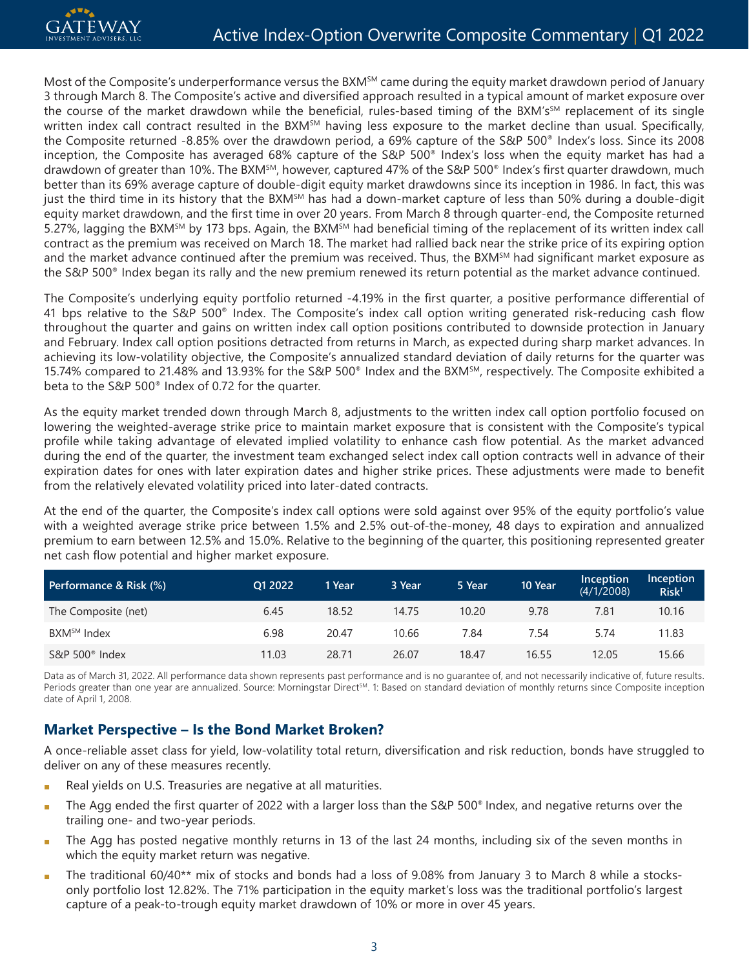Most of the Composite's underperformance versus the BXM<sup>SM</sup> came during the equity market drawdown period of January 3 through March 8. The Composite's active and diversified approach resulted in a typical amount of market exposure over the course of the market drawdown while the beneficial, rules-based timing of the BXM's<sup>SM</sup> replacement of its single written index call contract resulted in the BXM<sup>SM</sup> having less exposure to the market decline than usual. Specifically, the Composite returned -8.85% over the drawdown period, a 69% capture of the S&P 500® Index's loss. Since its 2008 inception, the Composite has averaged 68% capture of the S&P 500® Index's loss when the equity market has had a drawdown of greater than 10%. The BXM<sup>SM</sup>, however, captured 47% of the S&P 500<sup>®</sup> Index's first quarter drawdown, much better than its 69% average capture of double-digit equity market drawdowns since its inception in 1986. In fact, this was just the third time in its history that the BXM<sup>SM</sup> has had a down-market capture of less than 50% during a double-digit equity market drawdown, and the first time in over 20 years. From March 8 through quarter-end, the Composite returned 5.27%, lagging the BXM<sup>SM</sup> by 173 bps. Again, the BXM<sup>SM</sup> had beneficial timing of the replacement of its written index call contract as the premium was received on March 18. The market had rallied back near the strike price of its expiring option and the market advance continued after the premium was received. Thus, the BXM<sup>SM</sup> had significant market exposure as the S&P 500® Index began its rally and the new premium renewed its return potential as the market advance continued.

The Composite's underlying equity portfolio returned -4.19% in the first quarter, a positive performance differential of 41 bps relative to the S&P 500® Index. The Composite's index call option writing generated risk-reducing cash flow throughout the quarter and gains on written index call option positions contributed to downside protection in January and February. Index call option positions detracted from returns in March, as expected during sharp market advances. In achieving its low-volatility objective, the Composite's annualized standard deviation of daily returns for the quarter was 15.74% compared to 21.48% and 13.93% for the S&P 500® Index and the BXMSM, respectively. The Composite exhibited a beta to the S&P 500® Index of 0.72 for the quarter.

As the equity market trended down through March 8, adjustments to the written index call option portfolio focused on lowering the weighted-average strike price to maintain market exposure that is consistent with the Composite's typical profile while taking advantage of elevated implied volatility to enhance cash flow potential. As the market advanced during the end of the quarter, the investment team exchanged select index call option contracts well in advance of their expiration dates for ones with later expiration dates and higher strike prices. These adjustments were made to benefit from the relatively elevated volatility priced into later-dated contracts.

At the end of the quarter, the Composite's index call options were sold against over 95% of the equity portfolio's value with a weighted average strike price between 1.5% and 2.5% out-of-the-money, 48 days to expiration and annualized premium to earn between 12.5% and 15.0%. Relative to the beginning of the quarter, this positioning represented greater net cash flow potential and higher market exposure.

| Performance & Risk (%)  | O1 2022 | 1 Year | 3 Year | 5 Year | 10 Year | Inception<br>(4/1/2008) | Inception<br>Risk <sup>1</sup> |
|-------------------------|---------|--------|--------|--------|---------|-------------------------|--------------------------------|
| The Composite (net)     | 6.45    | 18.52  | 14.75  | 10.20  | 9.78    | 7.81                    | 10.16                          |
| BXM <sup>SM</sup> Index | 6.98    | 20.47  | 10.66  | 7.84   | 7.54    | 5.74                    | 11.83                          |
| S&P $500^{\circ}$ Index | 11.03   | 28.71  | 26.07  | 18.47  | 16.55   | 12.05                   | 15.66                          |

Data as of March 31, 2022. All performance data shown represents past performance and is no guarantee of, and not necessarily indicative of, future results. Periods greater than one year are annualized. Source: Morningstar Direct<sup>sM</sup>. 1: Based on standard deviation of monthly returns since Composite inception date of April 1, 2008.

# **Market Perspective – Is the Bond Market Broken?**

A once-reliable asset class for yield, low-volatility total return, diversification and risk reduction, bonds have struggled to deliver on any of these measures recently.

- Real yields on U.S. Treasuries are negative at all maturities.
- The Agg ended the first quarter of 2022 with a larger loss than the S&P 500® Index, and negative returns over the trailing one- and two-year periods.
- The Agg has posted negative monthly returns in 13 of the last 24 months, including six of the seven months in which the equity market return was negative.
- The traditional 60/40 $**$  mix of stocks and bonds had a loss of 9.08% from January 3 to March 8 while a stocksonly portfolio lost 12.82%. The 71% participation in the equity market's loss was the traditional portfolio's largest capture of a peak-to-trough equity market drawdown of 10% or more in over 45 years.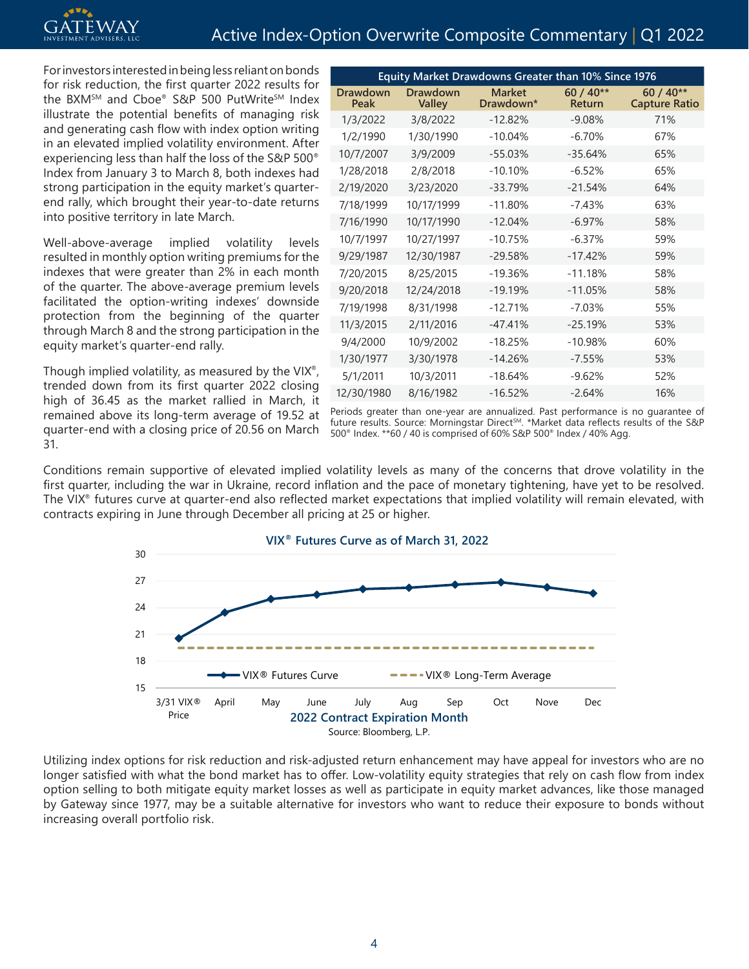For investors interested in being less reliant on bonds for risk reduction, the first quarter 2022 results for the BXM<sup>SM</sup> and Cboe® S&P 500 PutWrite<sup>SM</sup> Index illustrate the potential benefits of managing risk and generating cash flow with index option writing in an elevated implied volatility environment. After experiencing less than half the loss of the S&P 500® Index from January 3 to March 8, both indexes had strong participation in the equity market's quarterend rally, which brought their year-to-date returns into positive territory in late March.

Well-above-average implied volatility levels resulted in monthly option writing premiums for the indexes that were greater than 2% in each month of the quarter. The above-average premium levels facilitated the option-writing indexes' downside protection from the beginning of the quarter through March 8 and the strong participation in the equity market's quarter-end rally.

Though implied volatility, as measured by the VIX®, trended down from its first quarter 2022 closing high of 36.45 as the market rallied in March, it remained above its long-term average of 19.52 at quarter-end with a closing price of 20.56 on March 31.

| Equity Market Drawdowns Greater than 10% Since 1976 |                           |                            |                            |                                   |  |  |  |
|-----------------------------------------------------|---------------------------|----------------------------|----------------------------|-----------------------------------|--|--|--|
| Drawdown<br>Peak                                    | Drawdown<br><b>Valley</b> | <b>Market</b><br>Drawdown* | $60/40**$<br><b>Return</b> | $60/40**$<br><b>Capture Ratio</b> |  |  |  |
| 1/3/2022                                            | 3/8/2022                  | $-12.82%$                  | $-9.08%$                   | 71%                               |  |  |  |
| 1/2/1990                                            | 1/30/1990                 | $-10.04%$                  | $-6.70%$                   | 67%                               |  |  |  |
| 10/7/2007                                           | 3/9/2009                  | $-55.03%$                  | $-35.64%$                  | 65%                               |  |  |  |
| 1/28/2018                                           | 2/8/2018                  | $-10.10%$                  | $-6.52%$                   | 65%                               |  |  |  |
| 2/19/2020                                           | 3/23/2020                 | $-33.79%$                  | $-21.54%$                  | 64%                               |  |  |  |
| 7/18/1999                                           | 10/17/1999                | $-11.80%$                  | $-7.43%$                   | 63%                               |  |  |  |
| 7/16/1990                                           | 10/17/1990                | $-12.04%$                  | $-6.97%$                   | 58%                               |  |  |  |
| 10/7/1997                                           | 10/27/1997                | $-10.75%$                  | $-6.37%$                   | 59%                               |  |  |  |
| 9/29/1987                                           | 12/30/1987                | $-29.58%$                  | $-17.42%$                  | 59%                               |  |  |  |
| 7/20/2015                                           | 8/25/2015                 | $-19.36%$                  | $-11.18%$                  | 58%                               |  |  |  |
| 9/20/2018                                           | 12/24/2018                | $-19.19%$                  | $-11.05%$                  | 58%                               |  |  |  |
| 7/19/1998                                           | 8/31/1998                 | $-12.71%$                  | $-7.03%$                   | 55%                               |  |  |  |
| 11/3/2015                                           | 2/11/2016                 | $-47.41%$                  | $-25.19%$                  | 53%                               |  |  |  |
| 9/4/2000                                            | 10/9/2002                 | $-18.25%$                  | $-10.98%$                  | 60%                               |  |  |  |
| 1/30/1977                                           | 3/30/1978                 | $-14.26%$                  | $-7.55%$                   | 53%                               |  |  |  |
| 5/1/2011                                            | 10/3/2011                 | $-18.64\%$                 | $-9.62\%$                  | 52%                               |  |  |  |
| 12/30/1980                                          | 8/16/1982                 | $-16.52%$                  | $-2.64%$                   | 16%                               |  |  |  |

Periods greater than one-year are annualized. Past performance is no guarantee of future results. Source: Morningstar Direct<sup>sM</sup>. \*Market data reflects results of the S&P 500® Index. \*\*60 / 40 is comprised of 60% S&P 500® Index / 40% Agg.

Conditions remain supportive of elevated implied volatility levels as many of the concerns that drove volatility in the first quarter, including the war in Ukraine, record inflation and the pace of monetary tightening, have yet to be resolved. The VIX® futures curve at quarter-end also reflected market expectations that implied volatility will remain elevated, with contracts expiring in June through December all pricing at 25 or higher.



Utilizing index options for risk reduction and risk-adjusted return enhancement may have appeal for investors who are no longer satisfied with what the bond market has to offer. Low-volatility equity strategies that rely on cash flow from index option selling to both mitigate equity market losses as well as participate in equity market advances, like those managed by Gateway since 1977, may be a suitable alternative for investors who want to reduce their exposure to bonds without increasing overall portfolio risk.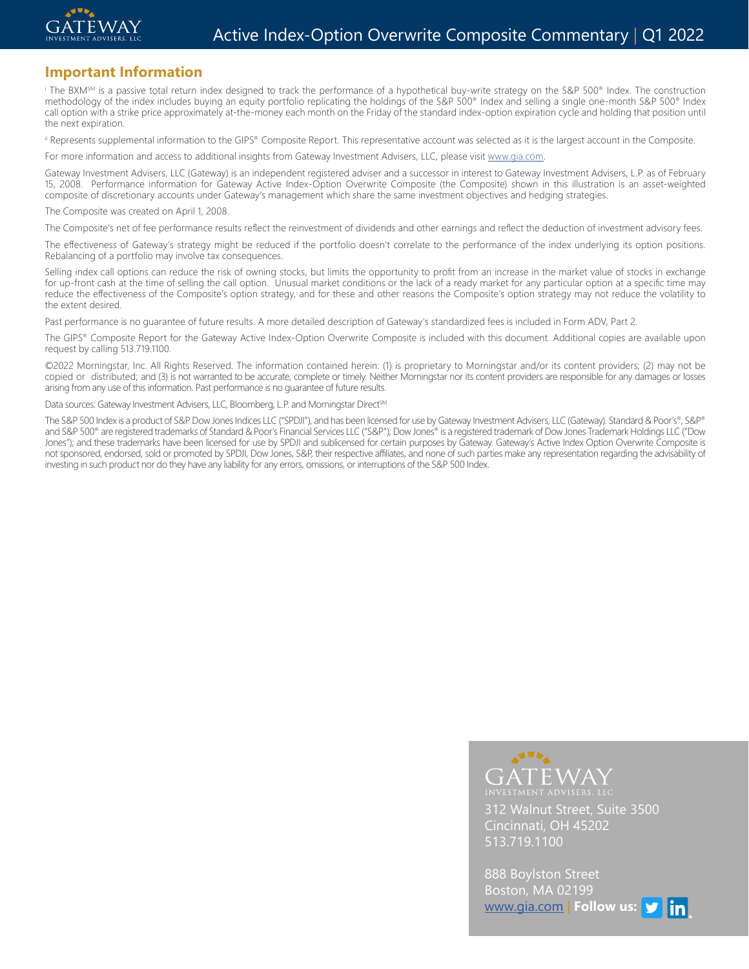

#### **Important Information**

i The BXMSM is a passive total return index designed to track the performance of a hypothetical buy-write strategy on the S&P 500® Index. The construction methodology of the index includes buying an equity portfolio replicating the holdings of the S&P 500® Index and selling a single one-month S&P 500® Index and selling a single one-month S&P 500® Index call option with a strike price approximately at-the-money each month on the Friday of the standard index-option expiration cycle and holding that position until the next expiration.

ii Represents supplemental information to the GIPS® Composite Report. This representative account was selected as it is the largest account in the Composite.

For more information and access to additional insights from Gateway Investment Advisers, LLC, please visit www.gia.com.

Gateway Investment Advisers, LLC (Gateway) is an independent registered adviser and a successor in interest to Gateway Investment Advisers, L.P. as of February 15, 2008. Performance information for Gateway Active Index-Option Overwrite Composite (the Composite) shown in this illustration is an asset-weighted composite of discretionary accounts under Gateway's management which share the same investment objectives and hedging strategies.

#### The Composite was created on April 1, 2008.

The Composite's net of fee performance results reflect the reinvestment of dividends and other earnings and reflect the deduction of investment advisory fees.

The effectiveness of Gateway's strategy might be reduced if the portfolio doesn't correlate to the performance of the index underlying its option positions. Rebalancing of a portfolio may involve tax consequences.

Selling index call options can reduce the risk of owning stocks, but limits the opportunity to profit from an increase in the market value of stocks in exchange for up-front cash at the time of selling the call option. Unusual market conditions or the lack of a ready market for any particular option at a specific time may reduce the effectiveness of the Composite's option strategy, and for these and other reasons the Composite's option strategy may not reduce the volatility to the extent desired.

Past performance is no guarantee of future results. A more detailed description of Gateway's standardized fees is included in Form ADV, Part 2.

The GIPS® Composite Report for the Gateway Active Index-Option Overwrite Composite is included with this document. Additional copies are available upon request by calling 513.719.1100.

©2022 Morningstar, Inc. All Rights Reserved. The information contained herein: (1) is proprietary to Morningstar and/or its content providers; (2) may not be copied or distributed; and (3) is not warranted to be accurate, complete or timely. Neither Morningstar nor its content providers are responsible for any damages or losses arising from any use of this information. Past performance is no guarantee of future results.

Data sources: Gateway Investment Advisers, LLC, Bloomberg, L.P. and Morningstar Direct<sup>sM</sup>

The S&P 500 Index is a product of S&P Dow Jones Indices LLC ("SPDJI"), and has been licensed for use by Gateway Investment Advisers, LLC (Gateway). Standard & Poor's®, S&P® and S&P 500<sup>®</sup> are registered trademarks of Standard & Poor's Financial Services LLC ("S&P"); Dow Jones® is a registered trademark of Dow Jones Trademark Holdings LLC ("Dow Jones"); and these trademarks have been licensed for use by SPDJI and sublicensed for certain purposes by Gateway. Gateway's Active Index Option Overwrite Composite is not sponsored, endorsed, sold or promoted by SPDJI, Dow Jones, S&P, their respective affiliates, and none of such parties make any representation regarding the advisability of investing in such product nor do they have any liability for any errors, omissions, or interruptions of the S&P 500 Index.



312 Walnut Street, Suite 3500 Cincinnati, OH 45202 513.719.1100

888 Boylston Street Boston, MA 02199 [www.gia.com](http://www.gia.com) | **Follow us:**